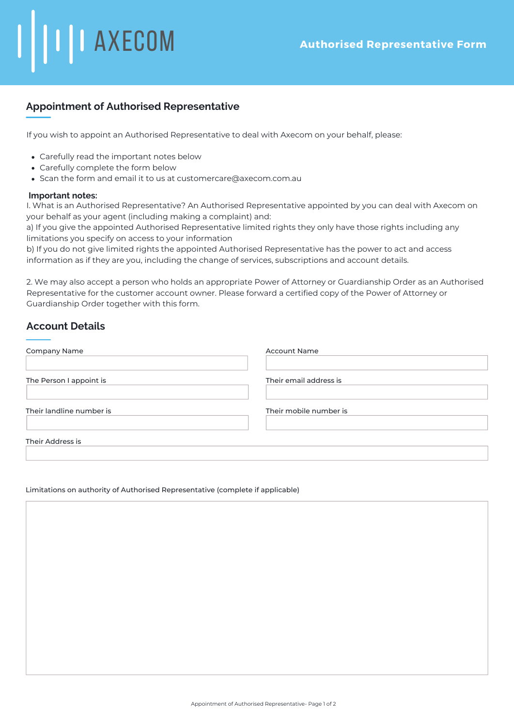# **Appointment of Authorised Representative**

If you wish to appoint an Authorised Representative to deal with Axecom on your behalf, please:

- Carefully read the important notes below
- Carefully complete the form below

**AXECOM** 

Scan the form and email it to us at customercare@axecom.com.au

#### **Important notes:**

I. What is an Authorised Representative? An Authorised Representative appointed by you can deal with Axecom on your behalf as your agent (including making a complaint) and:

a) If you give the appointed Authorised Representative limited rights they only have those rights including any limitations you specify on access to your information

b) If you do not give limited rights the appointed Authorised Representative has the power to act and access information as if they are you, including the change of services, subscriptions and account details.

2. We may also accept a person who holds an appropriate Power of Attorney or Guardianship Order as an Authorised Representative for the customer account owner. Please forward a certified copy of the Power of Attorney or Guardianship Order together with this form.

# **Account Details**

| Company Name             | <b>Account Name</b>    |  |
|--------------------------|------------------------|--|
| The Person I appoint is  | Their email address is |  |
| Their landline number is | Their mobile number is |  |
| Their Address is         |                        |  |

#### Limitations on authority of Authorised Representative (complete if applicable)